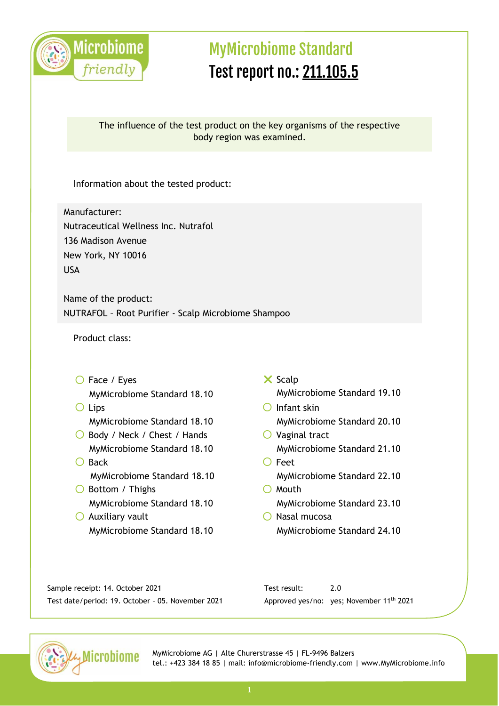

### The influence of the test product on the key organisms of the respective body region was examined.

Information about the tested product:

Manufacturer: Nutraceutical Wellness Inc. Nutrafol 136 Madison Avenue New York, NY 10016 USA

Name of the product: NUTRAFOL – Root Purifier - Scalp Microbiome Shampoo

Product class:

- O Face / Eyes MyMicrobiome Standard 18.10
- Lips MyMicrobiome Standard 18.10
- ◯ Body / Neck / Chest / Hands MyMicrobiome Standard 18.10
- $O$  Back MyMicrobiome Standard 18.10
- O Bottom / Thighs MyMicrobiome Standard 18.10
- $\bigcirc$  Auxiliary vault MyMicrobiome Standard 18.10
- $\times$  Scalp MyMicrobiome Standard 19.10
- $O$  Infant skin MyMicrobiome Standard 20.10
- $\bigcirc$  Vaginal tract MyMicrobiome Standard 21.10
- O Feet MyMicrobiome Standard 22.10  $O$  Mouth
	- MyMicrobiome Standard 23.10
- $\bigcirc$  Nasal mucosa MyMicrobiome Standard 24.10

Sample receipt: 14. October 2021 Test date/period: 19. October – 05. November 2021 Test result: 2.0 Approved yes/no: yes; November 11th 2021

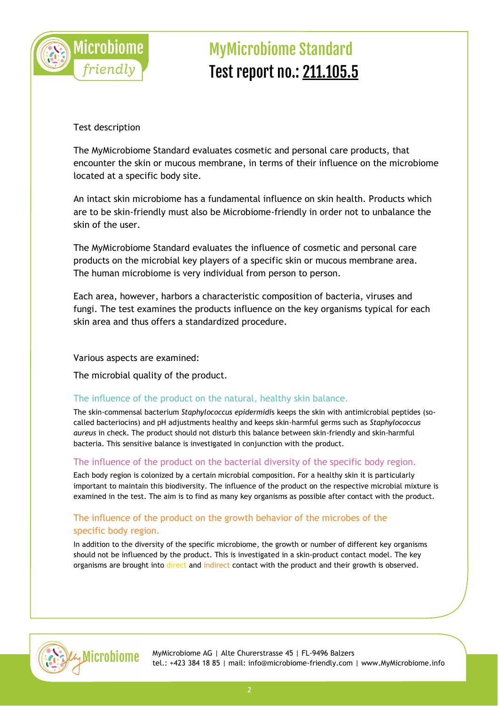

### Test description

The MyMicrobiome Standard evaluates cosmetic and personal care products, that encounter the skin or mucous membrane, in terms of their influence on the microbiome located at a specific body site.

An intact skin microbiome has a fundamental influence on skin health. Products which are to be skin-friendly must also be Microbiome-friendly in order not to unbalance the skin of the user.

The MyMicrobiome Standard evaluates the influence of cosmetic and personal care products on the microbial key players of a specific skin or mucous membrane area. The human microbiome is very individual from person to person.

Each area, however, harbors a characteristic composition of bacteria, viruses and fungi. The test examines the products influence on the key organisms typical for each skin area and thus offers a standardized procedure.

#### Various aspects are examined:

The microbial quality of the product.

### The influence of the product on the natural, healthy skin balance.

The skin-commensal bacterium *Staphylococcus epidermidi*s keeps the skin with antimicrobial peptides (socalled bacteriocins) and pH adjustments healthy and keeps skin-harmful germs such as *Staphylococcus aureus* in check. The product should not disturb this balance between skin-friendly and skin-harmful bacteria. This sensitive balance is investigated in conjunction with the product.

#### The influence of the product on the bacterial diversity of the specific body region.

Each body region is colonized by a certain microbial composition. For a healthy skin it is particularly important to maintain this biodiversity. The influence of the product on the respective microbial mixture is examined in the test. The aim is to find as many key organisms as possible after contact with the product.

### The influence of the product on the growth behavior of the microbes of the specific body region.

In addition to the diversity of the specific microbiome, the growth or number of different key organisms should not be influenced by the product. This is investigated in a skin-product contact model. The key organisms are brought into direct and indirect contact with the product and their growth is observed.

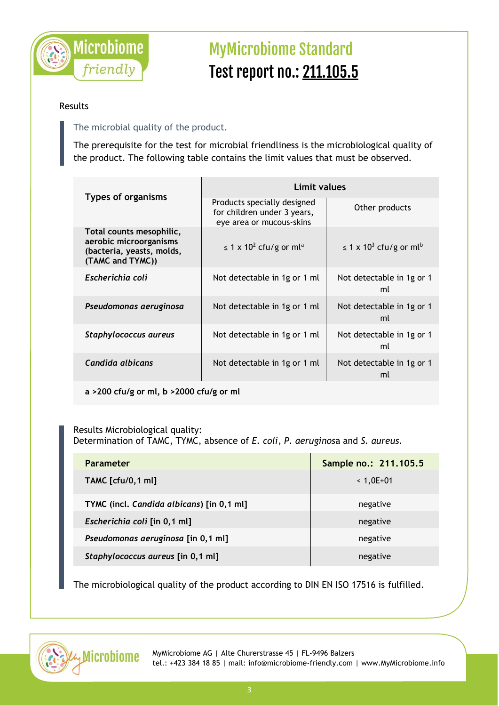

### Results

## The microbial quality of the product.

The prerequisite for the test for microbial friendliness is the microbiological quality of the product. The following table contains the limit values that must be observed.

| <b>Types of organisms</b>                                                                           | Limit values                                                                           |                                                     |  |
|-----------------------------------------------------------------------------------------------------|----------------------------------------------------------------------------------------|-----------------------------------------------------|--|
|                                                                                                     | Products specially designed<br>for children under 3 years,<br>eye area or mucous-skins | Other products                                      |  |
| Total counts mesophilic,<br>aerobic microorganisms<br>(bacteria, yeasts, molds,<br>(TAMC and TYMC)) | $\leq$ 1 x 10 <sup>2</sup> cfu/g or ml <sup>a</sup>                                    | $\leq$ 1 x 10 <sup>3</sup> cfu/g or ml <sup>b</sup> |  |
| Escherichia coli                                                                                    | Not detectable in 1g or 1 ml                                                           | Not detectable in 1g or 1<br>ml                     |  |
| Pseudomonas aeruginosa                                                                              | Not detectable in 1g or 1 ml                                                           | Not detectable in 1g or 1<br>ml                     |  |
| Staphylococcus aureus                                                                               | Not detectable in 1g or 1 ml                                                           | Not detectable in 1g or 1<br>ml                     |  |
| Candida albicans                                                                                    | Not detectable in 1g or 1 ml                                                           | Not detectable in 1g or 1<br>ml                     |  |

**a >200 cfu/g or ml, b >2000 cfu/g or ml**

Results Microbiological quality: Determination of TAMC, TYMC, absence of *E. coli*, *P. aeruginos*a and *S. aureus.*

| <b>Parameter</b>                          | Sample no.: 211.105.5 |
|-------------------------------------------|-----------------------|
| <b>TAMC</b> [cfu/0,1 ml]                  | $< 1,0E+01$           |
| TYMC (incl. Candida albicans) [in 0,1 ml] | negative              |
| Escherichia coli [in 0,1 ml]              | negative              |
| Pseudomonas aeruginosa [in 0,1 ml]        | negative              |
| Staphylococcus aureus [in 0,1 ml]         | negative              |

The microbiological quality of the product according to DIN EN ISO 17516 is fulfilled.

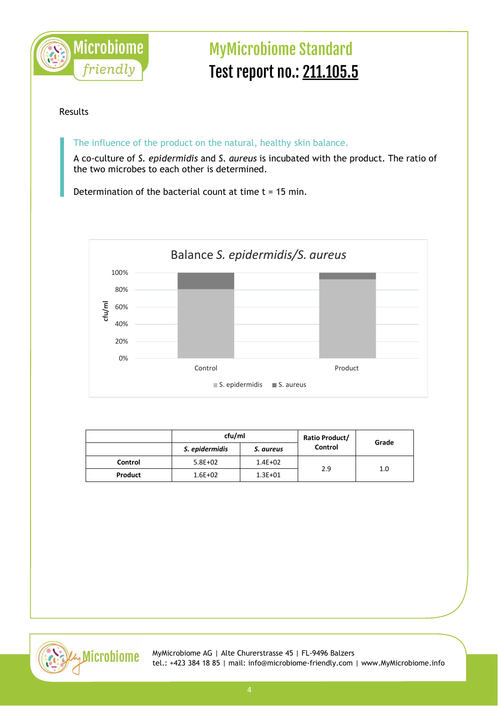

#### Results

The influence of the product on the natural, healthy skin balance.

A co-culture of *S. epidermidis* and *S. aureus* is incubated with the product. The ratio of the two microbes to each other is determined.

Determination of the bacterial count at time  $t = 15$  min.



|         | cfu/ml         |             | Ratio Product/ | Grade |
|---------|----------------|-------------|----------------|-------|
|         | S. epidermidis | S. aureus   | Control        |       |
| Control | $5.8E + 02$    | $1.4E + 02$ | 2.9            | 1.0   |
| Product | $1.6E + 02$    | $1.3E + 01$ |                |       |

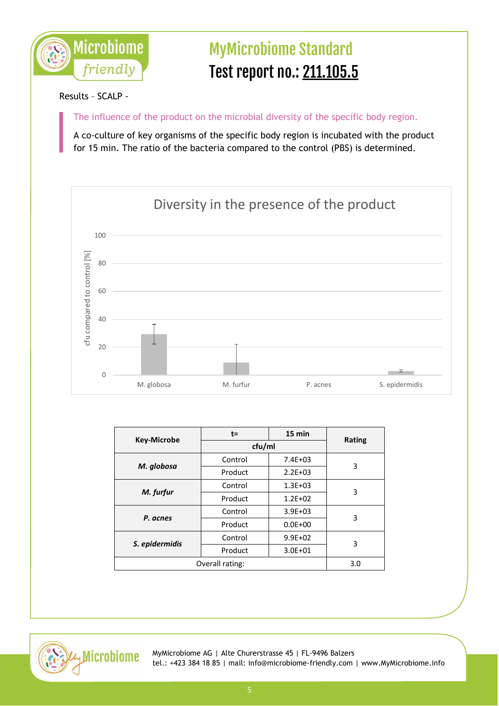

### Results – SCALP -

The influence of the product on the microbial diversity of the specific body region.

A co-culture of key organisms of the specific body region is incubated with the product for 15 min. The ratio of the bacteria compared to the control (PBS) is determined.



|                    | $t =$   | 15 min      |               |
|--------------------|---------|-------------|---------------|
| <b>Key-Microbe</b> | cfu/ml  |             | <b>Rating</b> |
| M. globosa         | Control | $7.4E + 03$ | 3             |
|                    | Product | $2.2E + 03$ |               |
| M. furfur          | Control | $1.3E + 03$ | 3             |
|                    | Product | $1.2E + 02$ |               |
| P. acnes           | Control | $3.9E + 03$ | 3             |
|                    | Product | $0.0E + 00$ |               |
| S. epidermidis     | Control | $9.9E + 02$ | 3             |
|                    | Product | $3.0E + 01$ |               |
| Overall rating:    |         | 3.0         |               |

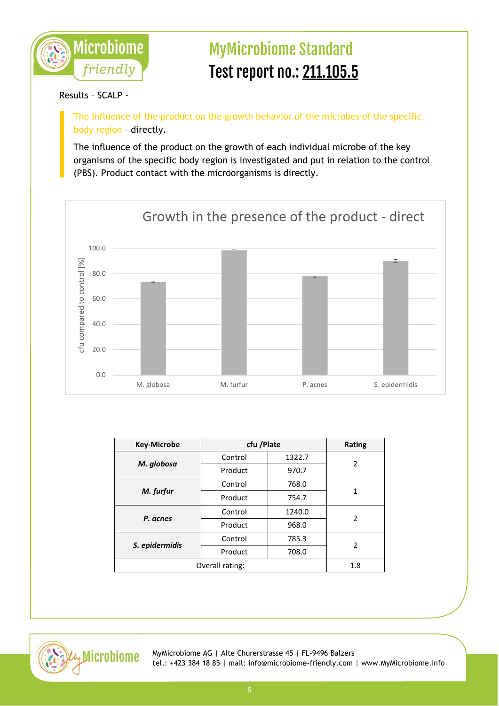

### Results – SCALP -

The influence of the product on the growth behavior of the microbes of the specific body region – directly.

The influence of the product on the growth of each individual microbe of the key organisms of the specific body region is investigated and put in relation to the control (PBS). Product contact with the microorganisms is directly.



| <b>Key-Microbe</b> | cfu /Plate |        | <b>Rating</b> |
|--------------------|------------|--------|---------------|
| M. globosa         | Control    | 1322.7 | 2             |
|                    | Product    | 970.7  |               |
| M. furfur          | Control    | 768.0  | 1             |
|                    | Product    | 754.7  |               |
| P. acnes           | Control    | 1240.0 | $\mathcal{P}$ |
|                    | Product    | 968.0  |               |
| S. epidermidis     | Control    | 785.3  | 2             |
|                    | Product    | 708.0  |               |
| Overall rating:    |            | 1.8    |               |

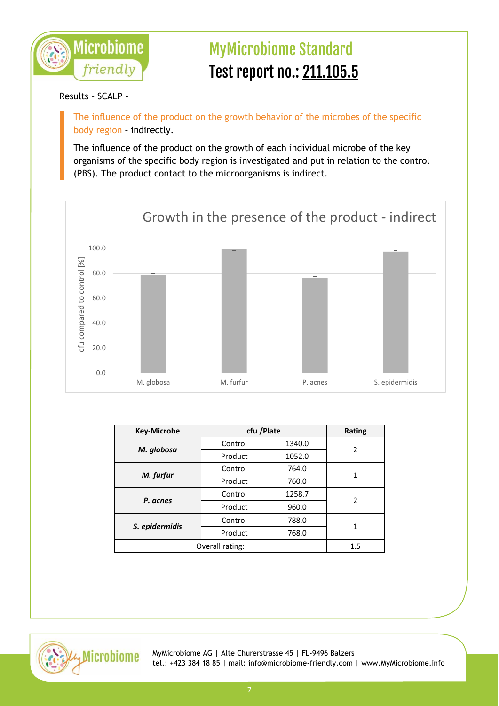

### Results – SCALP -

The influence of the product on the growth behavior of the microbes of the specific body region – indirectly.

The influence of the product on the growth of each individual microbe of the key organisms of the specific body region is investigated and put in relation to the control (PBS). The product contact to the microorganisms is indirect.



| <b>Key-Microbe</b> | cfu /Plate |        | <b>Rating</b>  |
|--------------------|------------|--------|----------------|
| M. globosa         | Control    | 1340.0 | 2              |
|                    | Product    | 1052.0 |                |
| M. furfur          | Control    | 764.0  | 1              |
|                    | Product    | 760.0  |                |
| P. acnes           | Control    | 1258.7 | $\overline{2}$ |
|                    | Product    | 960.0  |                |
| S. epidermidis     | Control    | 788.0  | 1              |
|                    | Product    | 768.0  |                |
| Overall rating:    |            | 1.5    |                |